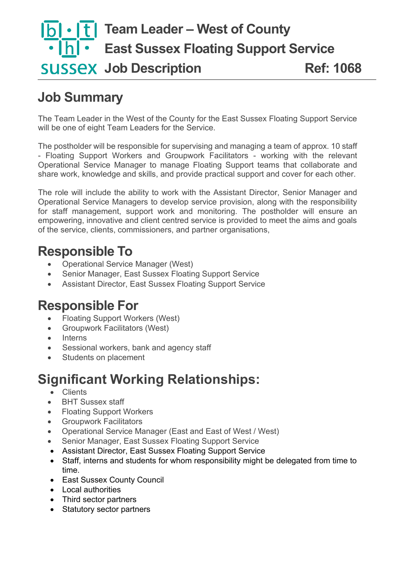# **T1 Team Leader – West of County East Sussex Floating Support Service Job Description Ref: 1068**

# **Job Summary**

The Team Leader in the West of the County for the East Sussex Floating Support Service will be one of eight Team Leaders for the Service.

The postholder will be responsible for supervising and managing a team of approx. 10 staff - Floating Support Workers and Groupwork Facilitators - working with the relevant Operational Service Manager to manage Floating Support teams that collaborate and share work, knowledge and skills, and provide practical support and cover for each other.

The role will include the ability to work with the Assistant Director, Senior Manager and Operational Service Managers to develop service provision, along with the responsibility for staff management, support work and monitoring. The postholder will ensure an empowering, innovative and client centred service is provided to meet the aims and goals of the service, clients, commissioners, and partner organisations,

### **Responsible To**

- Operational Service Manager (West)
- Senior Manager, East Sussex Floating Support Service
- Assistant Director, East Sussex Floating Support Service

#### **Responsible For**

- Floating Support Workers (West)
- Groupwork Facilitators (West)
- Interns
- Sessional workers, bank and agency staff
- Students on placement

## **Significant Working Relationships:**

- Clients
- BHT Sussex staff
- Floating Support Workers
- Groupwork Facilitators
- Operational Service Manager (East and East of West / West)
- Senior Manager, East Sussex Floating Support Service
- Assistant Director, East Sussex Floating Support Service
- Staff, interns and students for whom responsibility might be delegated from time to time.
- East Sussex County Council
- Local authorities
- Third sector partners
- Statutory sector partners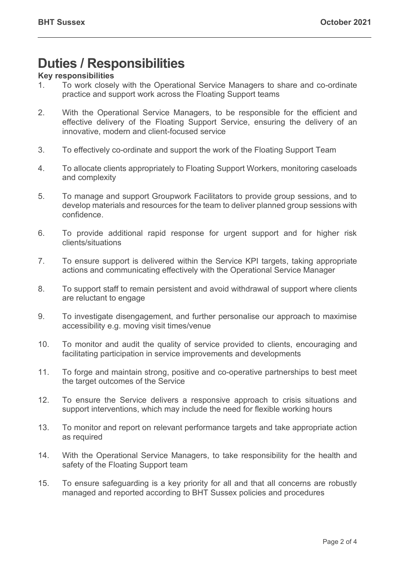### **Duties / Responsibilities**

#### **Key responsibilities**

- 1. To work closely with the Operational Service Managers to share and co-ordinate practice and support work across the Floating Support teams
- 2. With the Operational Service Managers, to be responsible for the efficient and effective delivery of the Floating Support Service, ensuring the delivery of an innovative, modern and client-focused service
- 3. To effectively co-ordinate and support the work of the Floating Support Team
- 4. To allocate clients appropriately to Floating Support Workers, monitoring caseloads and complexity
- 5. To manage and support Groupwork Facilitators to provide group sessions, and to develop materials and resources for the team to deliver planned group sessions with confidence.
- 6. To provide additional rapid response for urgent support and for higher risk clients/situations
- 7. To ensure support is delivered within the Service KPI targets, taking appropriate actions and communicating effectively with the Operational Service Manager
- 8. To support staff to remain persistent and avoid withdrawal of support where clients are reluctant to engage
- 9. To investigate disengagement, and further personalise our approach to maximise accessibility e.g. moving visit times/venue
- 10. To monitor and audit the quality of service provided to clients, encouraging and facilitating participation in service improvements and developments
- 11. To forge and maintain strong, positive and co-operative partnerships to best meet the target outcomes of the Service
- 12. To ensure the Service delivers a responsive approach to crisis situations and support interventions, which may include the need for flexible working hours
- 13. To monitor and report on relevant performance targets and take appropriate action as required
- 14. With the Operational Service Managers, to take responsibility for the health and safety of the Floating Support team
- 15. To ensure safeguarding is a key priority for all and that all concerns are robustly managed and reported according to BHT Sussex policies and procedures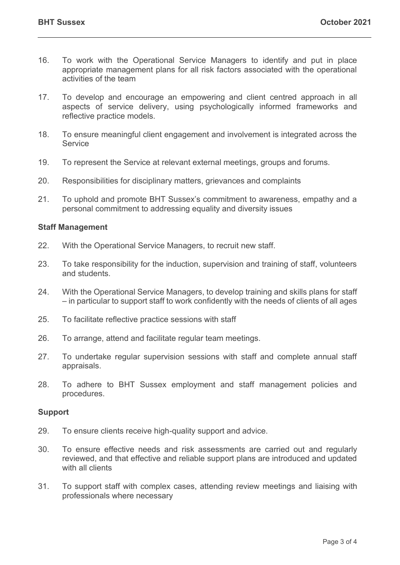- 16. To work with the Operational Service Managers to identify and put in place appropriate management plans for all risk factors associated with the operational activities of the team
- 17. To develop and encourage an empowering and client centred approach in all aspects of service delivery, using psychologically informed frameworks and reflective practice models.
- 18. To ensure meaningful client engagement and involvement is integrated across the Service
- 19. To represent the Service at relevant external meetings, groups and forums.
- 20. Responsibilities for disciplinary matters, grievances and complaints
- 21. To uphold and promote BHT Sussex's commitment to awareness, empathy and a personal commitment to addressing equality and diversity issues

#### **Staff Management**

- 22. With the Operational Service Managers, to recruit new staff.
- 23. To take responsibility for the induction, supervision and training of staff, volunteers and students.
- 24. With the Operational Service Managers, to develop training and skills plans for staff – in particular to support staff to work confidently with the needs of clients of all ages
- 25. To facilitate reflective practice sessions with staff
- 26. To arrange, attend and facilitate regular team meetings.
- 27. To undertake regular supervision sessions with staff and complete annual staff appraisals.
- 28. To adhere to BHT Sussex employment and staff management policies and procedures.

#### **Support**

- 29. To ensure clients receive high-quality support and advice.
- 30. To ensure effective needs and risk assessments are carried out and regularly reviewed, and that effective and reliable support plans are introduced and updated with all clients
- 31. To support staff with complex cases, attending review meetings and liaising with professionals where necessary